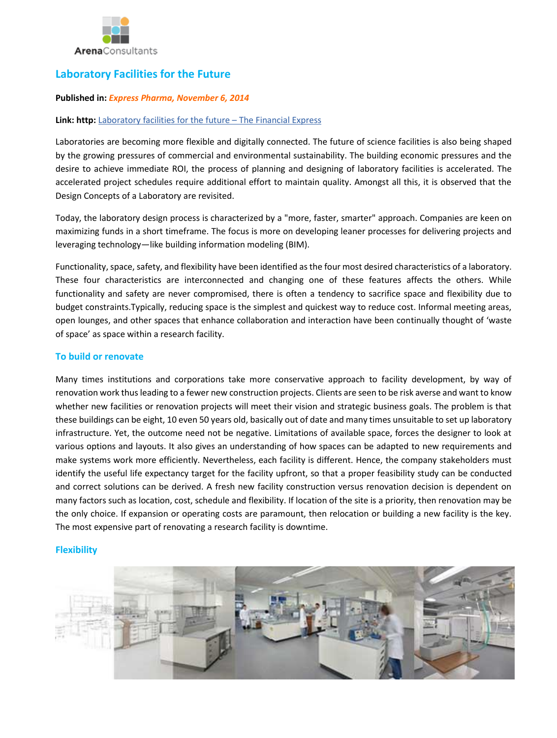

# **Laboratory Facilities for the Future**

### **Published in:** *Express Pharma, November 6, 2014*

### **Link: http:** [Laboratory facilities for the future](http://www.financialexpress.com/article/pharma/lab-next/laboratory-facilities-for-the-future/5934/) – The Financial Express

Laboratories are becoming more flexible and digitally connected. The future of science facilities is also being shaped by the growing pressures of commercial and environmental sustainability. The building economic pressures and the desire to achieve immediate ROI, the process of planning and designing of laboratory facilities is accelerated. The accelerated project schedules require additional effort to maintain quality. Amongst all this, it is observed that the Design Concepts of a Laboratory are revisited.

Today, the laboratory design process is characterized by a "more, faster, smarter" approach. Companies are keen on maximizing funds in a short timeframe. The focus is more on developing leaner processes for delivering projects and leveraging technology—like building information modeling (BIM).

Functionality, space, safety, and flexibility have been identified as the four most desired characteristics of a laboratory. These four characteristics are interconnected and changing one of these features affects the others. While functionality and safety are never compromised, there is often a tendency to sacrifice space and flexibility due to budget constraints.Typically, reducing space is the simplest and quickest way to reduce cost. Informal meeting areas, open lounges, and other spaces that enhance collaboration and interaction have been continually thought of 'waste of space' as space within a research facility.

# **To build or renovate**

Many times institutions and corporations take more conservative approach to facility development, by way of renovation work thus leading to a fewer new construction projects. Clients are seen to be risk averse and want to know whether new facilities or renovation projects will meet their vision and strategic business goals. The problem is that these buildings can be eight, 10 even 50 years old, basically out of date and many times unsuitable to set up laboratory infrastructure. Yet, the outcome need not be negative. Limitations of available space, forces the designer to look at various options and layouts. It also gives an understanding of how spaces can be adapted to new requirements and make systems work more efficiently. Nevertheless, each facility is different. Hence, the company stakeholders must identify the useful life expectancy target for the facility upfront, so that a proper feasibility study can be conducted and correct solutions can be derived. A fresh new facility construction versus renovation decision is dependent on many factors such as location, cost, schedule and flexibility. If location of the site is a priority, then renovation may be the only choice. If expansion or operating costs are paramount, then relocation or building a new facility is the key. The most expensive part of renovating a research facility is downtime.

# **Flexibility**

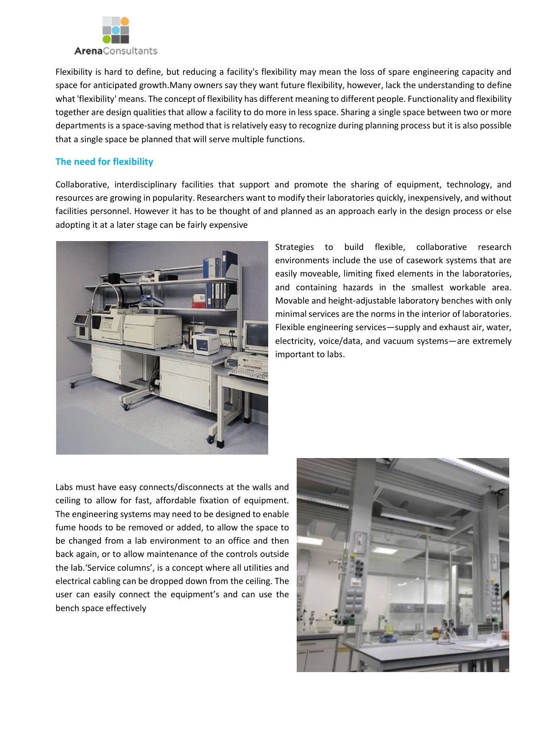

Flexibility is hard to define, but reducing a facility's flexibility may mean the loss of spare engineering capacity and space for anticipated growth.Many owners say they want future flexibility, however, lack the understanding to define what 'flexibility' means. The concept of flexibility has different meaning to different people. Functionality and flexibility together are design qualities that allow a facility to do more in less space. Sharing a single space between two or more departments is a space-saving method that is relatively easy to recognize during planning process but it is also possible that a single space be planned that will serve multiple functions.

# **The need for flexibility**

Collaborative, interdisciplinary facilities that support and promote the sharing of equipment, technology, and resources are growing in popularity. Researchers want to modify their laboratories quickly, inexpensively, and without facilities personnel. However it has to be thought of and planned as an approach early in the design process or else adopting it at a later stage can be fairly expensive



Strategies to build flexible, collaborative research environments include the use of casework systems that are easily moveable, limiting fixed elements in the laboratories, and containing hazards in the smallest workable area. Movable and height-adjustable laboratory benches with only minimal services are the norms in the interior of laboratories. Flexible engineering services—supply and exhaust air, water, electricity, voice/data, and vacuum systems—are extremely important to labs.

Labs must have easy connects/disconnects at the walls and ceiling to allow for fast, affordable fixation of equipment. The engineering systems may need to be designed to enable fume hoods to be removed or added, to allow the space to be changed from a lab environment to an office and then back again, or to allow maintenance of the controls outside the lab.'Service columns', is a concept where all utilities and electrical cabling can be dropped down from the ceiling. The user can easily connect the equipment's and can use the bench space effectively

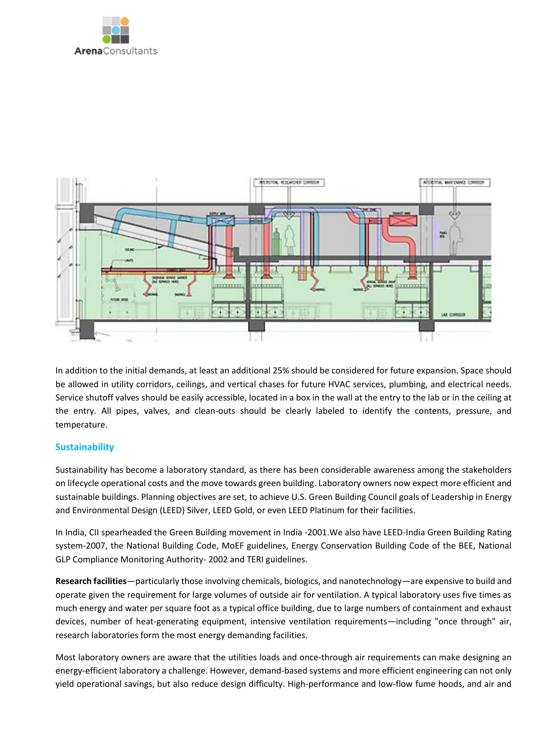



In addition to the initial demands, at least an additional 25% should be considered for future expansion. Space should be allowed in utility corridors, ceilings, and vertical chases for future HVAC services, plumbing, and electrical needs. Service shutoff valves should be easily accessible, located in a box in the wall at the entry to the lab or in the ceiling at the entry. All pipes, valves, and clean-outs should be clearly labeled to identify the contents, pressure, and temperature.

# **Sustainability**

Sustainability has become a laboratory standard, as there has been considerable awareness among the stakeholders on lifecycle operational costs and the move towards green building. Laboratory owners now expect more efficient and sustainable buildings. Planning objectives are set, to achieve U.S. Green Building Council goals of Leadership in Energy and Environmental Design (LEED) Silver, LEED Gold, or even LEED Platinum for their facilities.

In India, CII spearheaded the Green Building movement in India -2001.We also have LEED-India Green Building Rating system-2007, the National Building Code, MoEF guidelines, Energy Conservation Building Code of the BEE, National GLP Compliance Monitoring Authority- 2002 and TERI guidelines.

**Research facilities**—particularly those involving chemicals, biologics, and nanotechnology—are expensive to build and operate given the requirement for large volumes of outside air for ventilation. A typical laboratory uses five times as much energy and water per square foot as a typical office building, due to large numbers of containment and exhaust devices, number of heat-generating equipment, intensive ventilation requirements—including "once through" air, research laboratories form the most energy demanding facilities.

Most laboratory owners are aware that the utilities loads and once-through air requirements can make designing an energy-efficient laboratory a challenge. However, demand-based systems and more efficient engineering can not only yield operational savings, but also reduce design difficulty. High-performance and low-flow fume hoods, and air and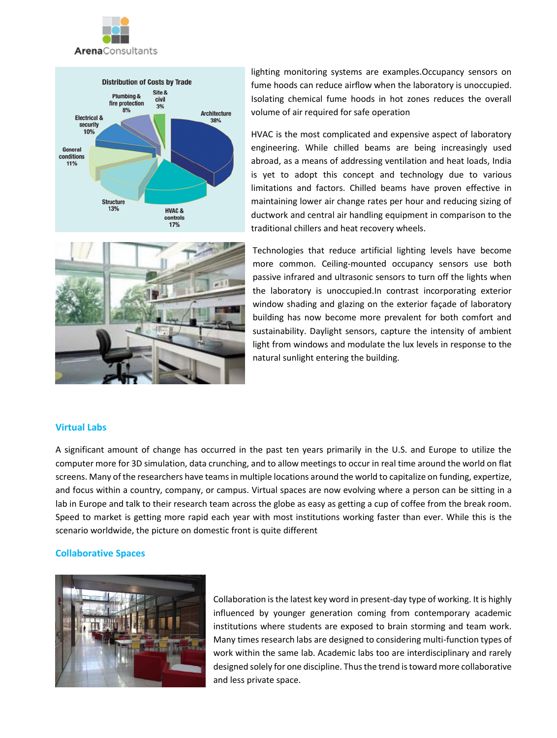





lighting monitoring systems are examples.Occupancy sensors on fume hoods can reduce airflow when the laboratory is unoccupied. Isolating chemical fume hoods in hot zones reduces the overall volume of air required for safe operation

HVAC is the most complicated and expensive aspect of laboratory engineering. While chilled beams are being increasingly used abroad, as a means of addressing ventilation and heat loads, India is yet to adopt this concept and technology due to various limitations and factors. Chilled beams have proven effective in maintaining lower air change rates per hour and reducing sizing of ductwork and central air handling equipment in comparison to the traditional chillers and heat recovery wheels.

Technologies that reduce artificial lighting levels have become more common. Ceiling-mounted occupancy sensors use both passive infrared and ultrasonic sensors to turn off the lights when the laboratory is unoccupied.In contrast incorporating exterior window shading and glazing on the exterior façade of laboratory building has now become more prevalent for both comfort and sustainability. Daylight sensors, capture the intensity of ambient light from windows and modulate the lux levels in response to the natural sunlight entering the building.

# **Virtual Labs**

A significant amount of change has occurred in the past ten years primarily in the U.S. and Europe to utilize the computer more for 3D simulation, data crunching, and to allow meetings to occur in real time around the world on flat screens. Many of the researchers have teams in multiple locations around the world to capitalize on funding, expertize, and focus within a country, company, or campus. Virtual spaces are now evolving where a person can be sitting in a lab in Europe and talk to their research team across the globe as easy as getting a cup of coffee from the break room. Speed to market is getting more rapid each year with most institutions working faster than ever. While this is the scenario worldwide, the picture on domestic front is quite different

#### **Collaborative Spaces**



Collaboration is the latest key word in present-day type of working. It is highly influenced by younger generation coming from contemporary academic institutions where students are exposed to brain storming and team work. Many times research labs are designed to considering multi-function types of work within the same lab. Academic labs too are interdisciplinary and rarely designed solely for one discipline. Thus the trend is toward more collaborative and less private space.